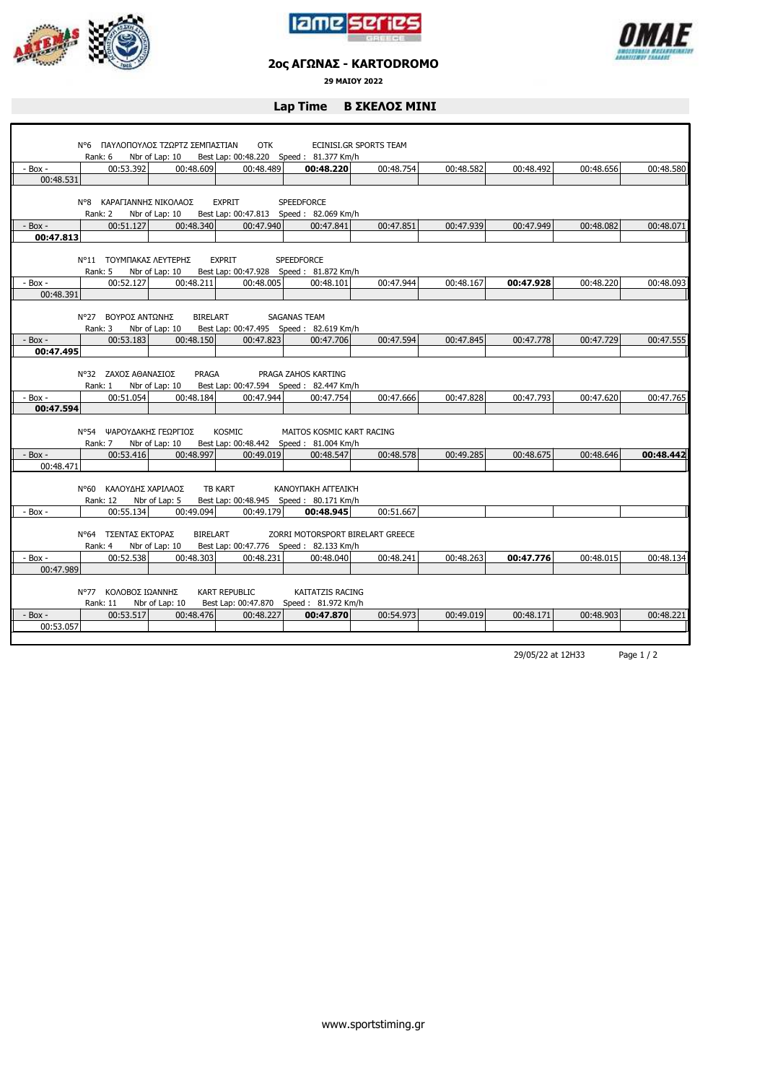





## **2ος ΑΓΩΝΑΣ - KARTODROMO**

**29 ΜΑΙΟΥ 2022**

## **Lap Time Β ΣΚΕΛΟΣ ΜΙΝΙ**

|                                                               |                          | Ν°6 ΠΑΥΛΟΠΟΥΛΟΣ ΤΖΩΡΤΖ ΣΕΜΠΑΣΤΙΑΝ | <b>OTK</b>           |                                          | ECINISI.GR SPORTS TEAM |           |           |           |           |  |
|---------------------------------------------------------------|--------------------------|-----------------------------------|----------------------|------------------------------------------|------------------------|-----------|-----------|-----------|-----------|--|
|                                                               | Rank: 6                  | Nbr of Lap: 10                    |                      | Best Lap: 00:48.220 Speed: 81.377 Km/h   |                        |           |           |           |           |  |
| - Box -                                                       | 00:53.392                | 00:48.609                         | 00:48.489            | 00:48.220                                | 00:48.754              | 00:48.582 | 00:48.492 | 00:48.656 | 00:48.580 |  |
| 00:48.531                                                     |                          |                                   |                      |                                          |                        |           |           |           |           |  |
|                                                               |                          |                                   |                      |                                          |                        |           |           |           |           |  |
|                                                               | N°8 ΚΑΡΑΓΙΑΝΝΗΣ ΝΙΚΟΛΑΟΣ |                                   | EXPRIT               | <b>SPEEDFORCE</b>                        |                        |           |           |           |           |  |
|                                                               | Rank: 2                  | Nbr of Lap: 10                    |                      | Best Lap: 00:47.813 Speed: 82.069 Km/h   |                        |           |           |           |           |  |
| - Box -                                                       | 00:51.127                | 00:48.340                         | 00:47.940            | 00:47.841                                | 00:47.851              | 00:47.939 | 00:47.949 | 00:48.082 | 00:48.071 |  |
| 00:47.813                                                     |                          |                                   |                      |                                          |                        |           |           |           |           |  |
|                                                               |                          |                                   |                      |                                          |                        |           |           |           |           |  |
|                                                               | Ν°11 ΤΟΥΜΠΑΚΑΣ ΛΕΥΤΕΡΗΣ  |                                   | <b>EXPRIT</b>        | <b>SPEEDFORCE</b>                        |                        |           |           |           |           |  |
|                                                               | Rank: 5                  | Nbr of Lap: 10                    |                      | Best Lap: 00:47.928  Speed: 81.872 Km/h  |                        |           |           |           |           |  |
| - Box -                                                       | 00:52.127                | 00:48.211                         | 00:48.005            | 00:48.101                                | 00:47.944              | 00:48.167 | 00:47.928 | 00:48.220 | 00:48.093 |  |
| 00:48.391                                                     |                          |                                   |                      |                                          |                        |           |           |           |           |  |
|                                                               |                          |                                   |                      |                                          |                        |           |           |           |           |  |
| Ν°27 ΒΟΥΡΟΣ ΑΝΤΩΝΗΣ<br><b>BIRELART</b><br><b>SAGANAS TEAM</b> |                          |                                   |                      |                                          |                        |           |           |           |           |  |
|                                                               | Rank: 3                  | Nbr of Lap: 10                    |                      | Best Lap: 00:47.495 Speed: 82.619 Km/h   |                        |           |           |           |           |  |
| $-$ Box $-$                                                   | 00:53.183                | 00:48.150                         | 00:47.823            | 00:47.706                                | 00:47.594              | 00:47.845 | 00:47.778 | 00:47.729 | 00:47.555 |  |
| 00:47.495                                                     |                          |                                   |                      |                                          |                        |           |           |           |           |  |
|                                                               |                          |                                   |                      |                                          |                        |           |           |           |           |  |
|                                                               | N°32 ZAXO ΣΑΘΑΝΑΣΙΟΣ     | PRAGA                             |                      | PRAGA ZAHOS KARTING                      |                        |           |           |           |           |  |
|                                                               | Rank: 1                  | Nbr of Lap: 10                    |                      | Best Lap: 00:47.594 Speed: 82.447 Km/h   |                        |           |           |           |           |  |
| - Box -                                                       | 00:51.054                | 00:48.184                         | 00:47.944            | 00:47.754                                | 00:47.666              | 00:47.828 | 00:47.793 | 00:47.620 | 00:47.765 |  |
| 00:47.594                                                     |                          |                                   |                      |                                          |                        |           |           |           |           |  |
|                                                               |                          |                                   |                      |                                          |                        |           |           |           |           |  |
|                                                               | Ν°54 ΨΑΡΟΥΔΑΚΗΣ ΓΕΩΡΓΙΟΣ |                                   | <b>KOSMIC</b>        | MAITOS KOSMIC KART RACING                |                        |           |           |           |           |  |
|                                                               | Rank: 7 Nbr of Lap: 10   |                                   |                      | Best Lap: 00:48.442   Speed: 81.004 Km/h |                        |           |           |           |           |  |
| $-$ Box $-$                                                   | 00:53.416                | 00:48.997                         | 00:49.019            | 00:48.547                                | 00:48.578              | 00:49.285 | 00:48.675 | 00:48.646 | 00:48.442 |  |
| 00:48.471                                                     |                          |                                   |                      |                                          |                        |           |           |           |           |  |
|                                                               |                          |                                   |                      |                                          |                        |           |           |           |           |  |
|                                                               | Ν°60 ΚΑΛΟΥΔΗΣ ΧΑΡΙΛΑΟΣ   |                                   | <b>TB KART</b>       | ΚΑΝΟΥΠΑΚΗ ΑΓΓΕΛΙΚΉ                       |                        |           |           |           |           |  |
|                                                               | Rank: 12                 | Nbr of Lap: 5                     |                      | Best Lap: 00:48.945 Speed: 80.171 Km/h   |                        |           |           |           |           |  |
| $-$ Box $-$                                                   | 00:55.134                | 00:49.094                         | 00:49.179            | 00:48.945                                | 00:51.667              |           |           |           |           |  |
|                                                               |                          |                                   |                      |                                          |                        |           |           |           |           |  |
|                                                               | Ν°64 ΤΣΕΝΤΑΣ ΕΚΤΟΡΑΣ     | <b>BIRELART</b>                   |                      | ZORRI MOTORSPORT BIRELART GREECE         |                        |           |           |           |           |  |
|                                                               | Rank: 4                  | Nbr of Lap: 10                    |                      | Best Lap: 00:47.776 Speed: 82.133 Km/h   |                        |           |           |           |           |  |
| - Box -                                                       | 00:52.538                | 00:48.303                         | 00:48.231            | 00:48.040                                | 00:48.241              | 00:48.263 | 00:47.776 | 00:48.015 | 00:48.134 |  |
| 00:47.989                                                     |                          |                                   |                      |                                          |                        |           |           |           |           |  |
|                                                               |                          |                                   |                      |                                          |                        |           |           |           |           |  |
|                                                               | Ν°77 ΚΟΛΟΒΟΣ ΙΩΑΝΝΗΣ     |                                   | <b>KART REPUBLIC</b> | KAITATZIS RACING                         |                        |           |           |           |           |  |
|                                                               | Rank: 11                 | Nbr of Lap: 10                    |                      | Best Lap: 00:47.870 Speed: 81.972 Km/h   |                        |           |           |           |           |  |
| $-$ Box $-$                                                   | 00:53.517                | 00:48.476                         | 00:48.227            | 00:47.870                                | 00:54.973              | 00:49.019 | 00:48.171 | 00:48.903 | 00:48.221 |  |
| 00:53.057                                                     |                          |                                   |                      |                                          |                        |           |           |           |           |  |
|                                                               |                          |                                   |                      |                                          |                        |           |           |           |           |  |

29/05/22 at 12H33 Page 1 / 2